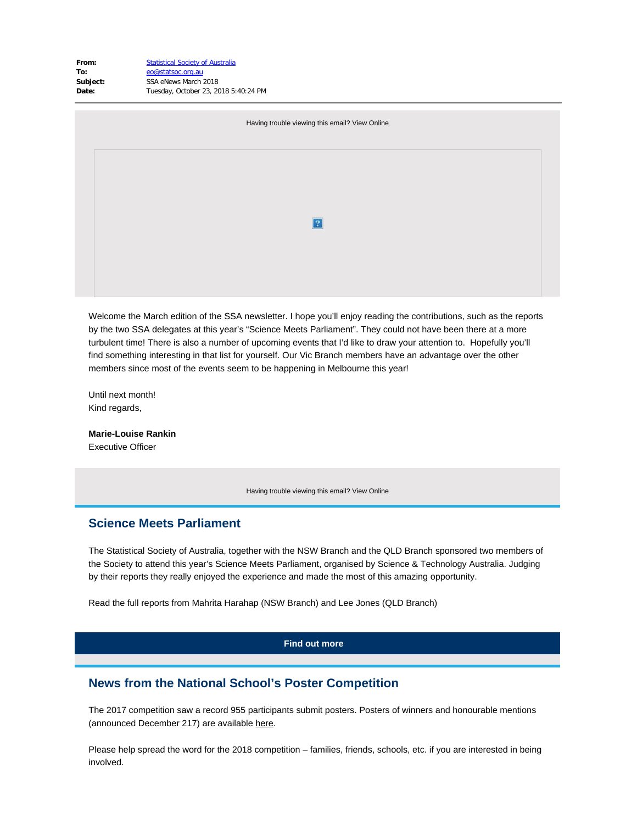| To:<br>Subject:<br>Date:                       | eo@statsoc.org.au<br>SSA eNews March 2018<br>Tuesday, October 23, 2018 5:40:24 PM |  |  |
|------------------------------------------------|-----------------------------------------------------------------------------------|--|--|
| Having trouble viewing this email? View Online |                                                                                   |  |  |
|                                                |                                                                                   |  |  |
|                                                | $\vert$ ?                                                                         |  |  |
|                                                |                                                                                   |  |  |
|                                                |                                                                                   |  |  |

Welcome the March edition of the SSA newsletter. I hope you'll enjoy reading the contributions, such as the reports by the two SSA delegates at this year's "Science Meets Parliament". They could not have been there at a more turbulent time! There is also a number of upcoming events that I'd like to draw your attention to. Hopefully you'll find something interesting in that list for yourself. Our Vic Branch members have an advantage over the other members since most of the events seem to be happening in Melbourne this year!

Until next month! Kind regards,

**Marie-Louise Rankin** Executive Officer

**From:** [Statistical Society of Australia](mailto:eo@statsoc.org.au)

Having trouble viewing this email? [View Online](https://www.vision6.com.au/ch/43209/1grzd/2486813/lXZBJsd7slQiIUSEAQkDgmE2brlT1GfK10pd7ohh-1.html)

## **Science Meets Parliament**

The Statistical Society of Australia, together with the NSW Branch and the QLD Branch sponsored two members of the Society to attend this year's Science Meets Parliament, organised by Science & Technology Australia. Judging by their reports they really enjoyed the experience and made the most of this amazing opportunity.

Read the full reports from Mahrita Harahap (NSW Branch) and Lee Jones (QLD Branch)

### **[Find out more](https://www.vision6.com.au/ch/43209/1grzd/2503067/lXZBJsd7slQiIUSEAQkD_KAhBuv.zLQ.J6OBl77M-1.html)**

### **News from the National School's Poster Competition**

The 2017 competition saw a record 955 participants submit posters. Posters of winners and honourable mentions (announced December 217) are available [here](https://www.vision6.com.au/ch/43209/1grzd/2503955/lXZBJsd7slQiIUSEAQkDhTlUVmHTkS_7yFnQXQym.html).

Please help spread the word for the 2018 competition – families, friends, schools, etc. if you are interested in being involved.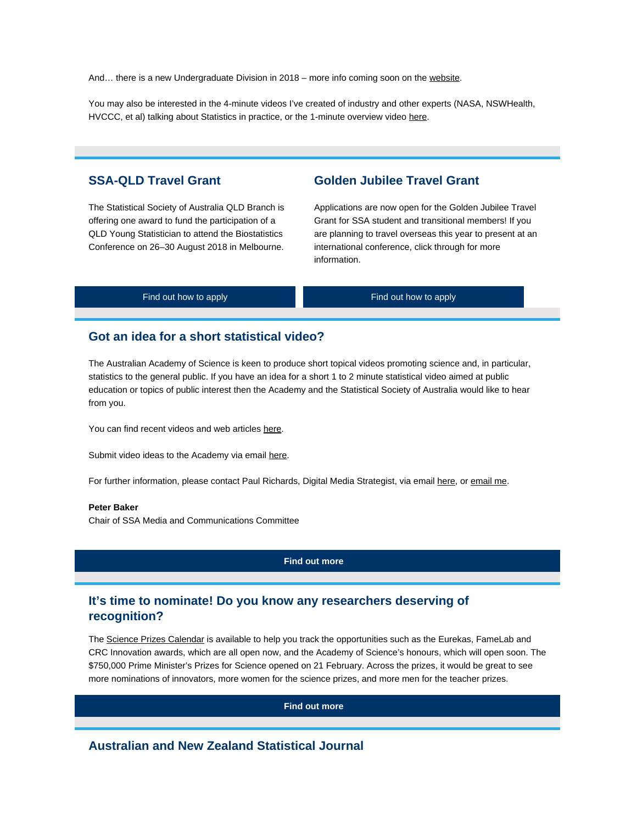And... there is a new Undergraduate Division in 2018 – more info coming soon on the [website](https://www.vision6.com.au/ch/43209/1grzd/2503069/lXZBJsd7slQiIUSEAQkDHeC1_6HO9Fbv.XvMnTsJ.html).

You may also be interested in the 4-minute videos I've created of industry and other experts (NASA, NSWHealth, HVCCC, et al) talking about Statistics in practice, or the 1-minute overview video [here](https://www.vision6.com.au/ch/43209/1grzd/2503956/lXZBJsd7slQiIUSEAQkDbmyLYQ7QPGreqetPW7S7.html).

# **SSA-QLD Travel Grant**

The Statistical Society of Australia QLD Branch is offering one award to fund the participation of a QLD Young Statistician to attend the Biostatistics Conference on 26–30 August 2018 in Melbourne.

# **Golden Jubilee Travel Grant**

Applications are now open for the Golden Jubilee Travel Grant for SSA student and transitional members! If you are planning to travel overseas this year to present at an international conference, click through for more information.

| Find out how to apply | Find out how to apply |
|-----------------------|-----------------------|
|                       |                       |

## **Got an idea for a short statistical video?**

The Australian Academy of Science is keen to produce short topical videos promoting science and, in particular, statistics to the general public. If you have an idea for a short 1 to 2 minute statistical video aimed at public education or topics of public interest then the Academy and the Statistical Society of Australia would like to hear from you.

You can find recent videos and web articles [here](https://www.vision6.com.au/ch/43209/1grzd/2504262/lXZBJsd7slQiIUSEAQkDl.JJdok3U6A10SxYpqaA.html).

Submit video ideas to the Academy via email [here](mailto:videos@science.org.au).

For further information, please contact Paul Richards, Digital Media Strategist, via email [here](mailto:paul.richards@science.org.au), or [email me](mailto:p.baker1@uq.edu.au).

#### **Peter Baker**

Chair of SSA Media and Communications Committee

### **[Find out more](https://www.vision6.com.au/ch/43209/1grzd/2503073/lXZBJsd7slQiIUSEAQkDKdbivrmSaZrtd_P39o81-1.html)**

# **It's time to nominate! Do you know any researchers deserving of recognition?**

The [Science Prizes Calendar](https://www.vision6.com.au/ch/43209/1grzd/2503074/lXZBJsd7slQiIUSEAQkDhNw5RTJQJtpaw0RFtgbv.html) is available to help you track the opportunities such as the Eurekas, FameLab and CRC Innovation awards, which are all open now, and the Academy of Science's honours, which will open soon. The \$750,000 Prime Minister's Prizes for Science opened on 21 February. Across the prizes, it would be great to see more nominations of innovators, more women for the science prizes, and more men for the teacher prizes.

**[Find out more](https://www.vision6.com.au/ch/43209/1grzd/2503075/lXZBJsd7slQiIUSEAQkDC77ocJzeIvIdZEcLqNXc-1.html)**

# **Australian and New Zealand Statistical Journal**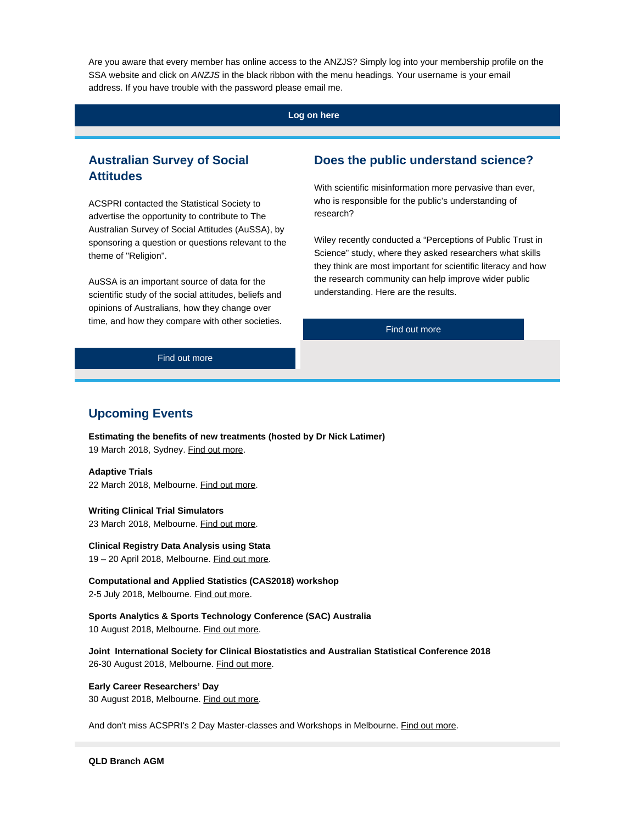Are you aware that every member has online access to the ANZJS? Simply log into your membership profile on the SSA website and click on *ANZJS* in the black ribbon with the menu headings. Your username is your email address. If you have trouble with the password please email me.

### **[Log on here](https://www.vision6.com.au/ch/43209/1grzd/2503076/lXZBJsd7slQiIUSEAQkDxJnHP1yQwlHIKiKxnuVl-1.html)**

# **Australian Survey of Social Attitudes**

ACSPRI contacted the Statistical Society to advertise the opportunity to contribute to [The](https://www.vision6.com.au/ch/43209/1grzd/2503077/lXZBJsd7slQiIUSEAQkDtscy4FVqcxym96eDVk9w.html) [Australian Survey of Social Attitudes \(AuSSA\)](https://www.vision6.com.au/ch/43209/1grzd/2503077/lXZBJsd7slQiIUSEAQkDtscy4FVqcxym96eDVk9w.html), by sponsoring a question or questions relevant to the theme of "Religion".

AuSSA is an important source of data for the scientific study of the social attitudes, beliefs and opinions of Australians, how they change over time, and how they compare with other societies.

## **Does the public understand science?**

With scientific misinformation more pervasive than ever, who is responsible for the public's understanding of research?

Wiley recently conducted a "Perceptions of Public Trust in Science" study, where they asked researchers what skills they think are most important for scientific literacy and how the research community can help improve wider public understanding. Here are the results.

[Find out more](https://www.vision6.com.au/ch/43209/1grzd/2503079/lXZBJsd7slQiIUSEAQkDAvicHId4IlVqhBmXkRnP-1.html)

[Find out more](https://www.vision6.com.au/ch/43209/1grzd/2503078/lXZBJsd7slQiIUSEAQkDSJirhJlrh.IL3mqM3QG6-1.html)

### **Upcoming Events**

**[Estimating the benefits of new treatments \(hosted by Dr Nick Latimer\)](https://www.vision6.com.au/ch/43209/1grzd/2503395/lXZBJsd7slQiIUSEAQkDXVyKnJDCo0wa4tInkntw.html)** 19 March 2018, Sydney. [Find out more](https://www.vision6.com.au/ch/43209/1grzd/2503395/lXZBJsd7slQiIUSEAQkDXVyKnJDCo0wa4tInkntw-1.html).

#### **[Adaptive Trials](https://www.vision6.com.au/ch/43209/1grzd/2490281/lXZBJsd7slQiIUSEAQkDYYSTMQon5wIYSOsbjh5L.html)**

22 March 2018, Melbourne. [Find out more](https://www.vision6.com.au/ch/43209/1grzd/2490281/lXZBJsd7slQiIUSEAQkDYYSTMQon5wIYSOsbjh5L-1.html).

**[Writing Clinical Trial Simulators](https://www.vision6.com.au/ch/43209/1grzd/2490281/lXZBJsd7slQiIUSEAQkDYYSTMQon5wIYSOsbjh5L-2.html)**

23 March 2018, Melbourne. [Find out more](https://www.vision6.com.au/ch/43209/1grzd/2490281/lXZBJsd7slQiIUSEAQkDYYSTMQon5wIYSOsbjh5L-3.html).

**[Clinical Registry Data Analysis using Stata](https://www.vision6.com.au/ch/43209/1grzd/2503397/lXZBJsd7slQiIUSEAQkDzapG9RM2fAb0GDR1w2p_.html)** 19 – 20 April 2018, Melbourne. [Find out more](https://www.vision6.com.au/ch/43209/1grzd/2503397/lXZBJsd7slQiIUSEAQkDzapG9RM2fAb0GDR1w2p_-1.html).

**[Computational and Applied Statistics \(CAS2018\) workshop](https://www.vision6.com.au/ch/43209/1grzd/2503398/lXZBJsd7slQiIUSEAQkDZcGN7uDgOBdVJATSKxSF.html)**

2-5 July 2018, Melbourne. [Find out more](https://www.vision6.com.au/ch/43209/1grzd/2503966/lXZBJsd7slQiIUSEAQkDxjSyNSe9LYYT5s8dGg2O.html).

**[Sports Analytics & Sports Technology Conference \(SAC\) Australia](https://www.vision6.com.au/ch/43209/1grzd/2503400/lXZBJsd7slQiIUSEAQkDt2opPBn1jI5fgWyZFGcU.html)** 10 August 2018, Melbourne. [Find out more](https://www.vision6.com.au/ch/43209/1grzd/2503400/lXZBJsd7slQiIUSEAQkDt2opPBn1jI5fgWyZFGcU-1.html).

**[Joint International Society for Clinical Biostatistics and Australian Statistical Conference 2018](https://www.vision6.com.au/ch/43209/1grzd/2503406/lXZBJsd7slQiIUSEAQkDlssmjm2mo7YDTy7EA_Bi.html)** 26-30 August 2018, Melbourne. [Find out more](https://www.vision6.com.au/ch/43209/1grzd/2503406/lXZBJsd7slQiIUSEAQkDlssmjm2mo7YDTy7EA_Bi-1.html).

### **[Early Career Researchers' Day](https://www.vision6.com.au/ch/43209/1grzd/2503402/lXZBJsd7slQiIUSEAQkDa8KjZtK6xjQRaocEasDY.html)**

30 August 2018, Melbourne. [Find out more](https://www.vision6.com.au/ch/43209/1grzd/2503402/lXZBJsd7slQiIUSEAQkDa8KjZtK6xjQRaocEasDY-1.html).

And don't miss ACSPRI's 2 Day Master-classes and Workshops in Melbourne. [Find out more](https://www.vision6.com.au/ch/43209/1grzd/2503967/lXZBJsd7slQiIUSEAQkD2CtcmukSsZAbFxLEe4KZ.html).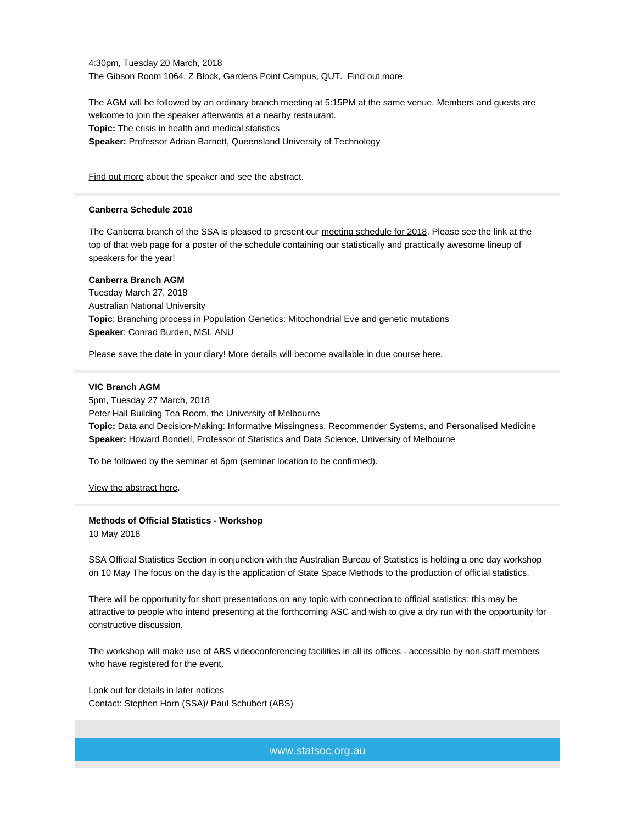4:30pm, Tuesday 20 March, 2018 The Gibson Room 1064, Z Block, Gardens Point Campus, QUT. [Find out more.](https://www.vision6.com.au/ch/43209/1grzd/2503969/lXZBJsd7slQiIUSEAQkDt4Fv1SGAy4X9A2GjdkIm.html)

The AGM will be followed by an ordinary branch meeting at 5:15PM at the same venue. Members and guests are welcome to join the speaker afterwards at a nearby restaurant. **Topic:** The crisis in health and medical statistics **Speaker:** Professor Adrian Barnett, Queensland University of Technology

[Find out more](https://www.vision6.com.au/ch/43209/1grzd/2503970/lXZBJsd7slQiIUSEAQkDe4_f16k6Bf2PEoGqqRZL.html) about the speaker and see the abstract.

### **Canberra Schedule 2018**

The Canberra branch of the SSA is pleased to present our [meeting schedule for 2018](https://www.vision6.com.au/ch/43209/1grzd/2458025/lXZBJsd7slQiIUSEAQkDVodxkqfYrimR_sT6IDPJ.html). Please see the link at the top of that web page for a poster of the schedule containing our statistically and practically awesome lineup of speakers for the year!

### **Canberra Branch AGM**

Tuesday March 27, 2018 Australian National University **Topic**: Branching process in Population Genetics: Mitochondrial Eve and genetic mutations **Speaker**: Conrad Burden, MSI, ANU

Please save the date in your diary! More details will become available in due course [here](https://www.vision6.com.au/ch/43209/1grzd/2458025/lXZBJsd7slQiIUSEAQkDVodxkqfYrimR_sT6IDPJ-1.html).

#### **VIC Branch AGM**

5pm, Tuesday 27 March, 2018 Peter Hall Building Tea Room, the University of Melbourne **Topic:** Data and Decision-Making: Informative Missingness, Recommender Systems, and Personalised Medicine **Speaker:** Howard Bondell, Professor of Statistics and Data Science, University of Melbourne

To be followed by the seminar at 6pm (seminar location to be confirmed).

[View the abstract here](https://www.vision6.com.au/ch/43209/1grzd/2435526/lXZBJsd7slQiIUSEAQkDRoyx2EUvUGwpdJh2P31U.html).

### **Methods of Official Statistics - Workshop**

10 May 2018

SSA Official Statistics Section in conjunction with the Australian Bureau of Statistics is holding a one day workshop on 10 May The focus on the day is the application of State Space Methods to the production of official statistics.

There will be opportunity for short presentations on any topic with connection to official statistics: this may be attractive to people who intend presenting at the forthcoming ASC and wish to give a dry run with the opportunity for constructive discussion.

The workshop will make use of ABS videoconferencing facilities in all its offices - accessible by non-staff members who have registered for the event.

Look out for details in later notices Contact: [Stephen Horn](mailto:srthorn@effect.net.au) [\(SSA\)](mailto:srthorn@effect.net.au?subject=Official%20Statistics)/ Paul Schubert (ABS)

www.statsoc.org.au